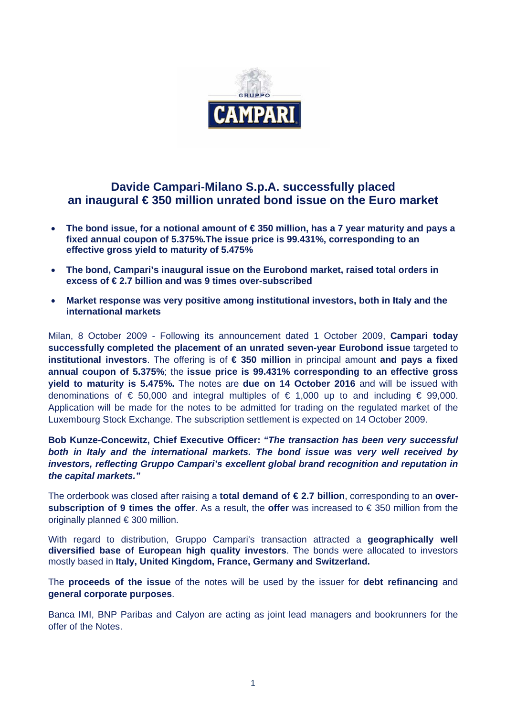

# **Davide Campari-Milano S.p.A. successfully placed an inaugural € 350 million unrated bond issue on the Euro market**

- **The bond issue, for a notional amount of € 350 million, has a 7 year maturity and pays a fixed annual coupon of 5.375%.The issue price is 99.431%, corresponding to an effective gross yield to maturity of 5.475%**
- **The bond, Campari's inaugural issue on the Eurobond market, raised total orders in excess of € 2.7 billion and was 9 times over-subscribed**
- **Market response was very positive among institutional investors, both in Italy and the international markets**

Milan, 8 October 2009 - Following its announcement dated 1 October 2009, **Campari today successfully completed the placement of an unrated seven-year Eurobond issue** targeted to **institutional investors**. The offering is of **€ 350 million** in principal amount **and pays a fixed annual coupon of 5.375%**; the **issue price is 99.431% corresponding to an effective gross yield to maturity is 5.475%.** The notes are **due on 14 October 2016** and will be issued with denominations of  $\epsilon$  50,000 and integral multiples of  $\epsilon$  1,000 up to and including  $\epsilon$  99,000. Application will be made for the notes to be admitted for trading on the regulated market of the Luxembourg Stock Exchange. The subscription settlement is expected on 14 October 2009.

**Bob Kunze-Concewitz, Chief Executive Officer:** *"The transaction has been very successful both in Italy and the international markets. The bond issue was very well received by investors, reflecting Gruppo Campari's excellent global brand recognition and reputation in the capital markets."* 

The orderbook was closed after raising a **total demand of € 2.7 billion**, corresponding to an **oversubscription of 9 times the offer**. As a result, the **offer** was increased to € 350 million from the originally planned € 300 million.

With regard to distribution, Gruppo Campari's transaction attracted a **geographically well diversified base of European high quality investors**. The bonds were allocated to investors mostly based in **Italy, United Kingdom, France, Germany and Switzerland.**

The **proceeds of the issue** of the notes will be used by the issuer for **debt refinancing** and **general corporate purposes**.

Banca IMI, BNP Paribas and Calyon are acting as joint lead managers and bookrunners for the offer of the Notes.